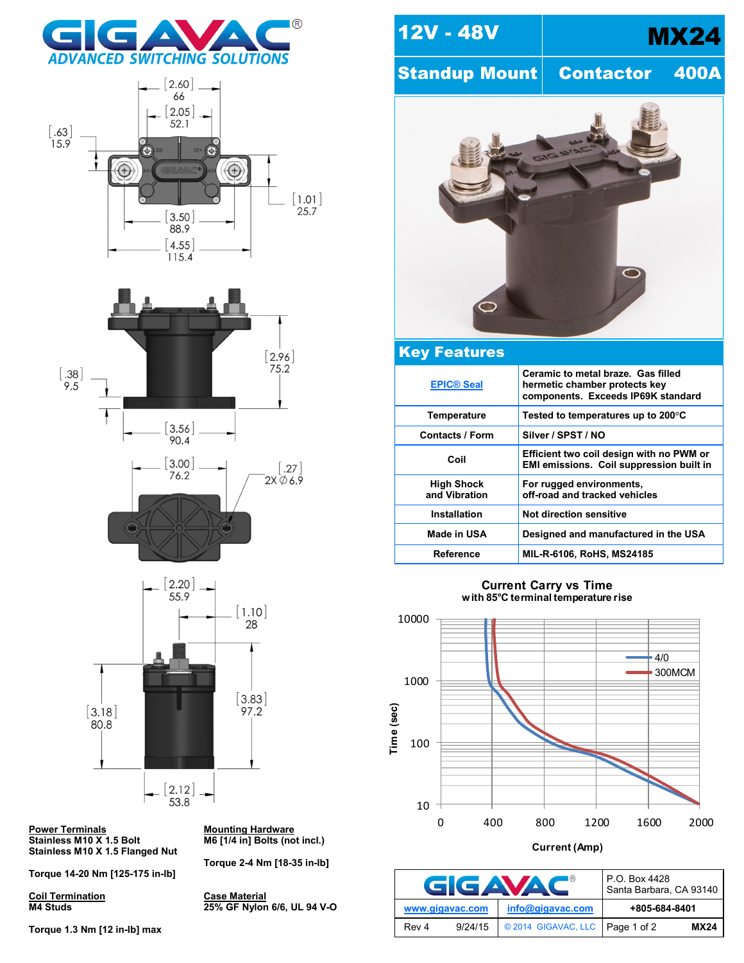







**Power Terminals<br>Stainless M10 X 1.5 Bolt Stainless M10 X 1.5 Flanged Nut**

**Torque 14-20 Nm [125-175 in-lb]**

**Coil Termination Case Material**

**Torque 1.3 Nm [12 in-lb] max**

**Mounting Hardware**<br>M6 [1/4 in] Bolts (not incl.)

**Torque 2-4 Nm [18-35 in-lb]**

**M4 Studs 25% GF Nylon 6/6, UL 94 V-O**





## Key Features **[EPIC® Seal](http://www.gigavac.com/apps/relays/epic/index.htm) Ceramic to metal braze. Gas filled hermetic chamber protects key components. Exceeds IP69K standard Temperature Tested to temperatures up to 200°C** Contacts / Form | Silver / SPST / NO **Coil Efficient two coil design with no PWM or EMI emissions. Coil suppression built in High Shock and Vibration For rugged environments, off-road and tracked vehicles Installation Not direction sensitive Made in USA Designed and manufactured in the USA Reference MIL-R-6106, RoHS, MS24185**

**Current Carry vs Time with 85 C terminal temperature rise**



**Current (Amp)**

| <b>GIGAVAC</b>   | P.O. Box 4428<br>Santa Barbara, CA 93140 |               |             |
|------------------|------------------------------------------|---------------|-------------|
| www.gigavac.com  | info@gigavac.com                         | +805-684-8401 |             |
| 9/24/15<br>Rev 4 | © 2014 GIGAVAC, LLC Page 1 of 2          |               | <b>MX24</b> |